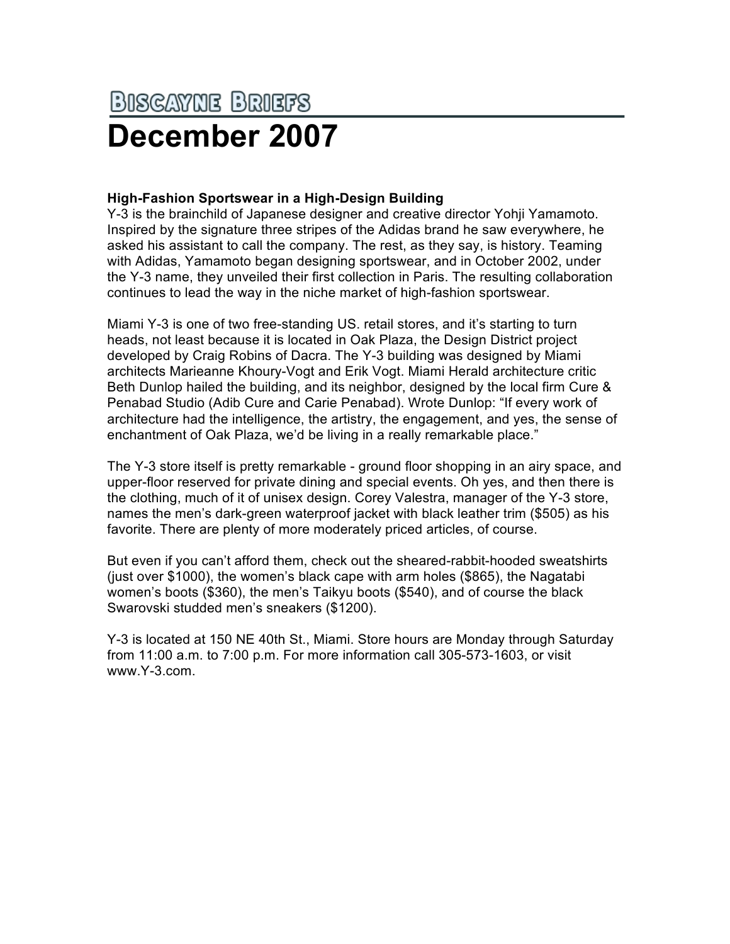## **BISCAYNE BRIEFS December 2007**

## **High-Fashion Sportswear in a High-Design Building**

Y-3 is the brainchild of Japanese designer and creative director Yohji Yamamoto. Inspired by the signature three stripes of the Adidas brand he saw everywhere, he asked his assistant to call the company. The rest, as they say, is history. Teaming with Adidas, Yamamoto began designing sportswear, and in October 2002, under the Y-3 name, they unveiled their first collection in Paris. The resulting collaboration continues to lead the way in the niche market of high-fashion sportswear.

Miami Y-3 is one of two free-standing US. retail stores, and it's starting to turn heads, not least because it is located in Oak Plaza, the Design District project developed by Craig Robins of Dacra. The Y-3 building was designed by Miami architects Marieanne Khoury-Vogt and Erik Vogt. Miami Herald architecture critic Beth Dunlop hailed the building, and its neighbor, designed by the local firm Cure & Penabad Studio (Adib Cure and Carie Penabad). Wrote Dunlop: "If every work of architecture had the intelligence, the artistry, the engagement, and yes, the sense of enchantment of Oak Plaza, we'd be living in a really remarkable place."

The Y-3 store itself is pretty remarkable - ground floor shopping in an airy space, and upper-floor reserved for private dining and special events. Oh yes, and then there is the clothing, much of it of unisex design. Corey Valestra, manager of the Y-3 store, names the men's dark-green waterproof jacket with black leather trim (\$505) as his favorite. There are plenty of more moderately priced articles, of course.

But even if you can't afford them, check out the sheared-rabbit-hooded sweatshirts (just over \$1000), the women's black cape with arm holes (\$865), the Nagatabi women's boots (\$360), the men's Taikyu boots (\$540), and of course the black Swarovski studded men's sneakers (\$1200).

Y-3 is located at 150 NE 40th St., Miami. Store hours are Monday through Saturday from 11:00 a.m. to 7:00 p.m. For more information call 305-573-1603, or visit www.Y-3.com.